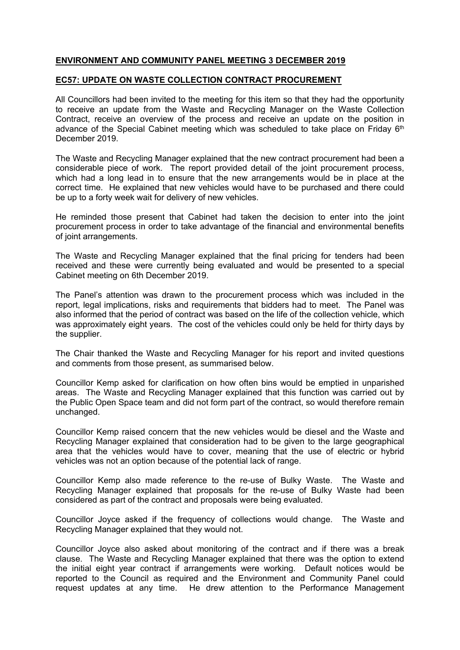## **ENVIRONMENT AND COMMUNITY PANEL MEETING 3 DECEMBER 2019**

## **EC57: UPDATE ON WASTE COLLECTION CONTRACT PROCUREMENT**

All Councillors had been invited to the meeting for this item so that they had the opportunity to receive an update from the Waste and Recycling Manager on the Waste Collection Contract, receive an overview of the process and receive an update on the position in advance of the Special Cabinet meeting which was scheduled to take place on Friday 6<sup>th</sup> December 2019.

The Waste and Recycling Manager explained that the new contract procurement had been a considerable piece of work. The report provided detail of the joint procurement process, which had a long lead in to ensure that the new arrangements would be in place at the correct time. He explained that new vehicles would have to be purchased and there could be up to a forty week wait for delivery of new vehicles.

He reminded those present that Cabinet had taken the decision to enter into the joint procurement process in order to take advantage of the financial and environmental benefits of joint arrangements.

The Waste and Recycling Manager explained that the final pricing for tenders had been received and these were currently being evaluated and would be presented to a special Cabinet meeting on 6th December 2019.

The Panel's attention was drawn to the procurement process which was included in the report, legal implications, risks and requirements that bidders had to meet. The Panel was also informed that the period of contract was based on the life of the collection vehicle, which was approximately eight years. The cost of the vehicles could only be held for thirty days by the supplier.

The Chair thanked the Waste and Recycling Manager for his report and invited questions and comments from those present, as summarised below.

Councillor Kemp asked for clarification on how often bins would be emptied in unparished areas. The Waste and Recycling Manager explained that this function was carried out by the Public Open Space team and did not form part of the contract, so would therefore remain unchanged.

Councillor Kemp raised concern that the new vehicles would be diesel and the Waste and Recycling Manager explained that consideration had to be given to the large geographical area that the vehicles would have to cover, meaning that the use of electric or hybrid vehicles was not an option because of the potential lack of range.

Councillor Kemp also made reference to the re-use of Bulky Waste. The Waste and Recycling Manager explained that proposals for the re-use of Bulky Waste had been considered as part of the contract and proposals were being evaluated.

Councillor Joyce asked if the frequency of collections would change. The Waste and Recycling Manager explained that they would not.

Councillor Joyce also asked about monitoring of the contract and if there was a break clause. The Waste and Recycling Manager explained that there was the option to extend the initial eight year contract if arrangements were working. Default notices would be reported to the Council as required and the Environment and Community Panel could request updates at any time. He drew attention to the Performance Management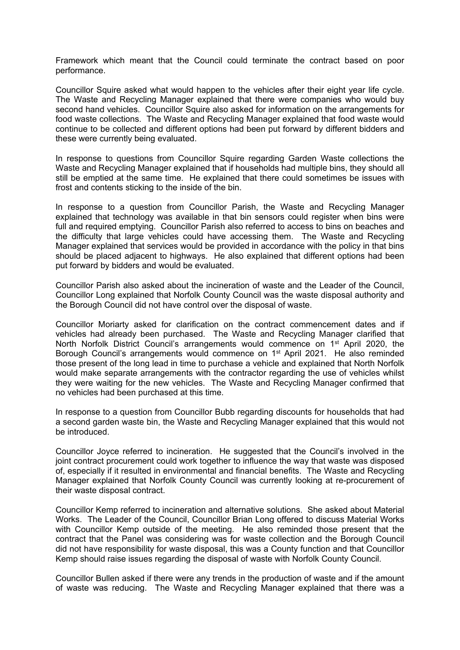Framework which meant that the Council could terminate the contract based on poor performance.

Councillor Squire asked what would happen to the vehicles after their eight year life cycle. The Waste and Recycling Manager explained that there were companies who would buy second hand vehicles. Councillor Squire also asked for information on the arrangements for food waste collections. The Waste and Recycling Manager explained that food waste would continue to be collected and different options had been put forward by different bidders and these were currently being evaluated.

In response to questions from Councillor Squire regarding Garden Waste collections the Waste and Recycling Manager explained that if households had multiple bins, they should all still be emptied at the same time. He explained that there could sometimes be issues with frost and contents sticking to the inside of the bin.

In response to a question from Councillor Parish, the Waste and Recycling Manager explained that technology was available in that bin sensors could register when bins were full and required emptying. Councillor Parish also referred to access to bins on beaches and the difficulty that large vehicles could have accessing them. The Waste and Recycling Manager explained that services would be provided in accordance with the policy in that bins should be placed adjacent to highways. He also explained that different options had been put forward by bidders and would be evaluated.

Councillor Parish also asked about the incineration of waste and the Leader of the Council, Councillor Long explained that Norfolk County Council was the waste disposal authority and the Borough Council did not have control over the disposal of waste.

Councillor Moriarty asked for clarification on the contract commencement dates and if vehicles had already been purchased. The Waste and Recycling Manager clarified that North Norfolk District Council's arrangements would commence on 1<sup>st</sup> April 2020, the Borough Council's arrangements would commence on 1<sup>st</sup> April 2021. He also reminded those present of the long lead in time to purchase a vehicle and explained that North Norfolk would make separate arrangements with the contractor regarding the use of vehicles whilst they were waiting for the new vehicles. The Waste and Recycling Manager confirmed that no vehicles had been purchased at this time.

In response to a question from Councillor Bubb regarding discounts for households that had a second garden waste bin, the Waste and Recycling Manager explained that this would not be introduced.

Councillor Joyce referred to incineration. He suggested that the Council's involved in the joint contract procurement could work together to influence the way that waste was disposed of, especially if it resulted in environmental and financial benefits. The Waste and Recycling Manager explained that Norfolk County Council was currently looking at re-procurement of their waste disposal contract.

Councillor Kemp referred to incineration and alternative solutions. She asked about Material Works. The Leader of the Council, Councillor Brian Long offered to discuss Material Works with Councillor Kemp outside of the meeting. He also reminded those present that the contract that the Panel was considering was for waste collection and the Borough Council did not have responsibility for waste disposal, this was a County function and that Councillor Kemp should raise issues regarding the disposal of waste with Norfolk County Council.

Councillor Bullen asked if there were any trends in the production of waste and if the amount of waste was reducing. The Waste and Recycling Manager explained that there was a